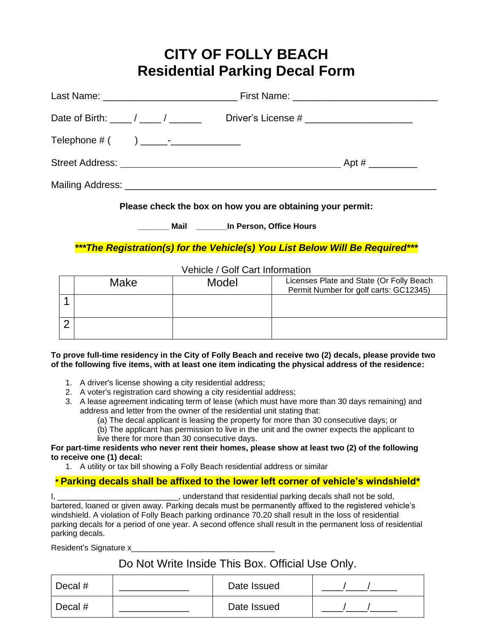# **CITY OF FOLLY BEACH Residential Parking Decal Form**

| Date of Birth: _____/ _____/ _________      | Driver's License # __________________________                                    |  |
|---------------------------------------------|----------------------------------------------------------------------------------|--|
| Telephone $\#$ ( ) ________________________ |                                                                                  |  |
|                                             |                                                                                  |  |
|                                             |                                                                                  |  |
|                                             | Discovered a local disc board on the corresponding of the behavior corresponding |  |

**Please check the box on how you are obtaining your permit:**

**\_\_\_\_\_\_\_ Mail \_\_\_\_\_\_\_In Person, Office Hours**

*\*\*\*The Registration(s) for the Vehicle(s) You List Below Will Be Required\*\*\**

#### Vehicle / Golf Cart Information

| Make | Model | Licenses Plate and State (Or Folly Beach<br>Permit Number for golf carts: GC12345) |
|------|-------|------------------------------------------------------------------------------------|
|      |       |                                                                                    |
|      |       |                                                                                    |

**To prove full-time residency in the City of Folly Beach and receive two (2) decals, please provide two of the following five items, with at least one item indicating the physical address of the residence:**

- 1. A driver's license showing a city residential address;
- 2. A voter's registration card showing a city residential address;
- 3. A lease agreement indicating term of lease (which must have more than 30 days remaining) and address and letter from the owner of the residential unit stating that:
	- (a) The decal applicant is leasing the property for more than 30 consecutive days; or
		- (b) The applicant has permission to live in the unit and the owner expects the applicant to live there for more than 30 consecutive days.

#### **For part-time residents who never rent their homes, please show at least two (2) of the following to receive one (1) decal:**

1. A utility or tax bill showing a Folly Beach residential address or similar

### **\* Parking decals shall be affixed to the lower left corner of vehicle's windshield\***

I, \_\_\_\_\_\_\_\_\_\_\_\_\_\_\_\_\_\_\_\_\_\_\_\_\_\_\_\_\_\_, understand that residential parking decals shall not be sold, bartered, loaned or given away. Parking decals must be permanently affixed to the registered vehicle's windshield. A violation of Folly Beach parking ordinance 70.20 shall result in the loss of residential parking decals for a period of one year. A second offence shall result in the permanent loss of residential parking decals.

Resident's Signature x

## Do Not Write Inside This Box. Official Use Only.

| Decal # | Date Issued |  |
|---------|-------------|--|
| Decal # | Date Issued |  |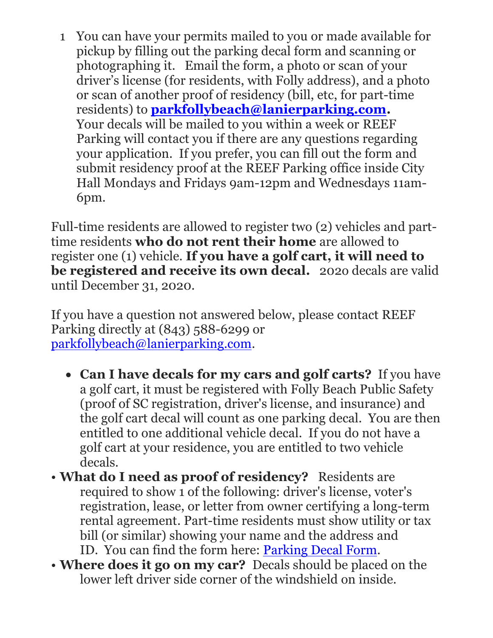1 You can have your permits mailed to you or made available for pickup by filling out the parking decal form and scanning or photographing it. Email the form, a photo or scan of your driver's license (for residents, with Folly address), and a photo or scan of another proof of residency (bill, etc, for part-time residents) to **[parkfollybeach@lanierparking.com.](mailto:parkfollybeach@lanierparking.com)**  Your decals will be mailed to you within a week or REEF Parking will contact you if there are any questions regarding your application. If you prefer, you can fill out the form and submit residency proof at the REEF Parking office inside City Hall Mondays and Fridays 9am-12pm and Wednesdays 11am-6pm.

Full-time residents are allowed to register two (2) vehicles and parttime residents **who do not rent their home** are allowed to register one (1) vehicle. **If you have a golf cart, it will need to be registered and receive its own decal.** 202o decals are valid until December 31, 2020.

If you have a question not answered below, please contact REEF Parking directly at (843) 588-6299 or [parkfollybeach@lanierparking.com.](mailto:parkfollybeach@lanierparking.com)

- **Can I have decals for my cars and golf carts?** If you have a golf cart, it must be registered with Folly Beach Public Safety (proof of SC registration, driver's license, and insurance) and the golf cart decal will count as one parking decal. You are then entitled to one additional vehicle decal. If you do not have a golf cart at your residence, you are entitled to two vehicle decals.
- **What do I need as proof of residency?** Residents are required to show 1 of the following: driver's license, voter's registration, lease, or letter from owner certifying a long-term rental agreement. Part-time residents must show utility or tax bill (or similar) showing your name and the address and ID. You can find the form here: [Parking Decal Form.](http://www.cityoffollybeach.com/wp-content/uploads/2015/04/Parking-Decal-Form1.docx)
- **Where does it go on my car?** Decals should be placed on the lower left driver side corner of the windshield on inside.